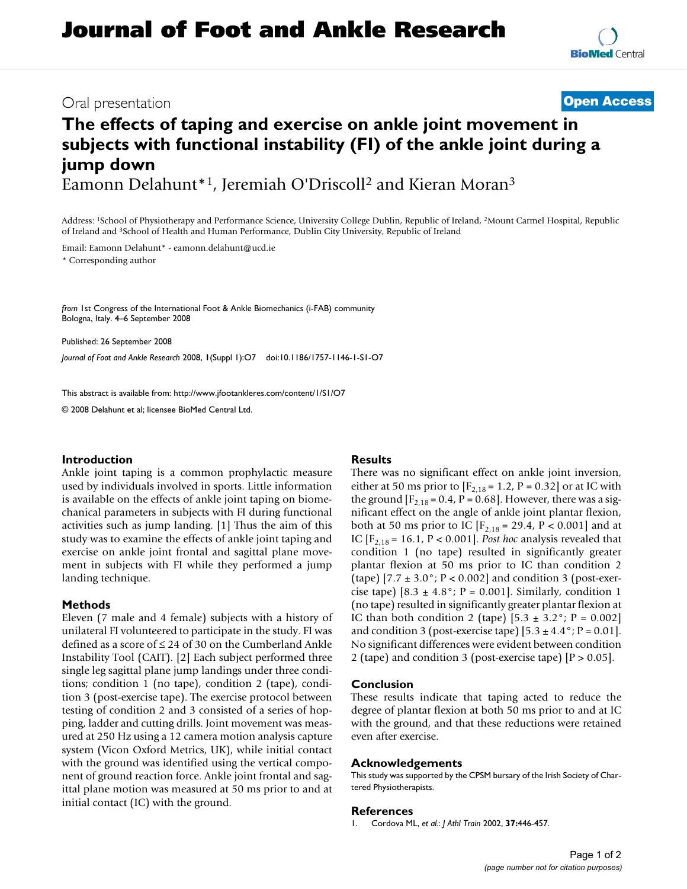## Oral presentation **[Open Access](http://www.biomedcentral.com/info/about/charter/)**

# **The effects of taping and exercise on ankle joint movement in subjects with functional instability (FI) of the ankle joint during a jump down** Eamonn Delahunt\*1, Jeremiah O'Driscoll2 and Kieran Moran3

Address: 1School of Physiotherapy and Performance Science, University College Dublin, Republic of Ireland, 2Mount Carmel Hospital, Republic of Ireland and 3School of Health and Human Performance, Dublin City University, Republic of Ireland

Email: Eamonn Delahunt\* - eamonn.delahunt@ucd.ie

\* Corresponding author

*from* 1st Congress of the International Foot & Ankle Biomechanics (i-FAB) community Bologna, Italy. 4–6 September 2008

Published: 26 September 2008

*Journal of Foot and Ankle Research* 2008, **1**(Suppl 1):O7 doi:10.1186/1757-1146-1-S1-O7

[This abstract is available from: http://www.jfootankleres.com/content/1/S1/O7](http://www.jfootankleres.com/content/1/S1/O7)

© 2008 Delahunt et al; licensee BioMed Central Ltd.

#### **Introduction**

Ankle joint taping is a common prophylactic measure used by individuals involved in sports. Little information is available on the effects of ankle joint taping on biomechanical parameters in subjects with FI during functional activities such as jump landing. [1] Thus the aim of this study was to examine the effects of ankle joint taping and exercise on ankle joint frontal and sagittal plane movement in subjects with FI while they performed a jump landing technique.

#### **Methods**

Eleven (7 male and 4 female) subjects with a history of unilateral FI volunteered to participate in the study. FI was defined as a score of ≤ 24 of 30 on the Cumberland Ankle Instability Tool (CAIT). [2] Each subject performed three single leg sagittal plane jump landings under three conditions; condition 1 (no tape), condition 2 (tape), condition 3 (post-exercise tape). The exercise protocol between testing of condition 2 and 3 consisted of a series of hopping, ladder and cutting drills. Joint movement was measured at 250 Hz using a 12 camera motion analysis capture system (Vicon Oxford Metrics, UK), while initial contact with the ground was identified using the vertical component of ground reaction force. Ankle joint frontal and sagittal plane motion was measured at 50 ms prior to and at initial contact (IC) with the ground.

### **Results**

There was no significant effect on ankle joint inversion, either at 50 ms prior to  $[F_{2,18} = 1.2, P = 0.32]$  or at IC with the ground  $[F_{2,18} = 0.4, P = 0.68]$ . However, there was a significant effect on the angle of ankle joint plantar flexion, both at 50 ms prior to IC  $[F_{2,18} = 29.4, P < 0.001]$  and at IC  $[F_{2,18} = 16.1, P < 0.001]$ . *Post hoc* analysis revealed that condition 1 (no tape) resulted in significantly greater plantar flexion at 50 ms prior to IC than condition 2 (tape)  $[7.7 \pm 3.0^\circ; P < 0.002]$  and condition 3 (post-exercise tape)  $[8.3 \pm 4.8^\circ; P = 0.001]$ . Similarly, condition 1 (no tape) resulted in significantly greater plantar flexion at IC than both condition 2 (tape)  $[5.3 \pm 3.2^{\circ}]$ ; P = 0.002] and condition 3 (post-exercise tape)  $[5.3 \pm 4.4\degree; P = 0.01]$ . No significant differences were evident between condition 2 (tape) and condition 3 (post-exercise tape)  $[P > 0.05]$ .

### **Conclusion**

These results indicate that taping acted to reduce the degree of plantar flexion at both 50 ms prior to and at IC with the ground, and that these reductions were retained even after exercise.

#### **Acknowledgements**

This study was supported by the CPSM bursary of the Irish Society of Chartered Physiotherapists.

#### **References**

1. Cordova ML, *et al.*: *J Athl Train* 2002, **37:**446-457.